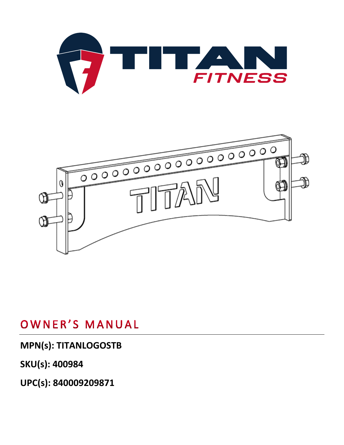



## OWNER'S MANUAL

### **MPN(s): TITANLOGOSTB**

**SKU(s): 400984**

**UPC(s): 840009209871**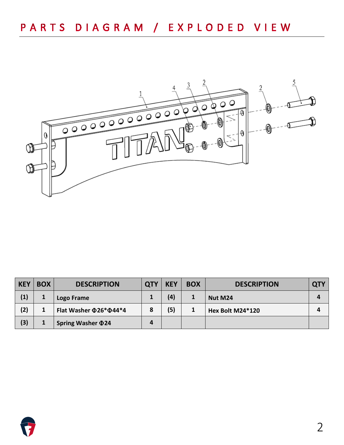

| <b>KEY</b> | <b>BOX</b> | <b>DESCRIPTION</b>                 | <b>QTY</b> | <b>KEY</b> | <b>BOX</b> | <b>DESCRIPTION</b> | <b>QTY</b> |
|------------|------------|------------------------------------|------------|------------|------------|--------------------|------------|
| (1)        |            | Logo Frame                         |            | (4)        | J.         | Nut M24            | Д          |
| (2)        |            | Flat Washer $\Phi$ 26* $\Phi$ 44*4 | 8          | (5)        |            | Hex Bolt M24*120   |            |
| (3)        |            | <b>Spring Washer 024</b>           | 4          |            |            |                    |            |

![](_page_1_Picture_3.jpeg)